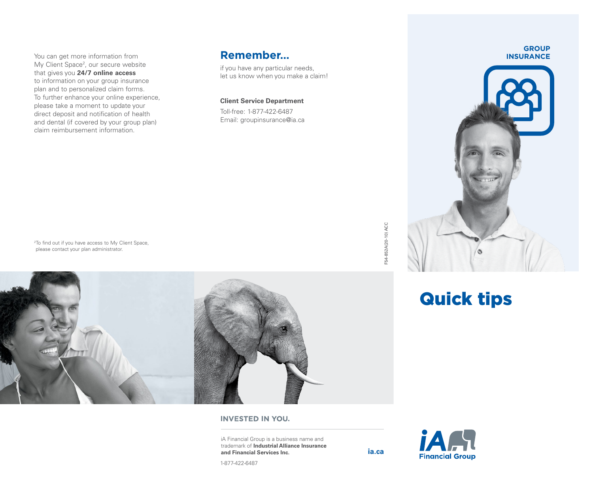You can get more information from My Client Space<sup>2</sup>, our secure website that gives you **24/7 online access** to information on your group insurance plan and to personalized claim forms. To further enhance your online experience, please take a moment to update your direct deposit and notification of health and dental (if covered by your group plan) claim reimbursement information.

### **Remember…**

if you have any particular needs, let us know when you make a claim!

### **Client Service Department**

Toll-free: 1-877-422-6487 Email: [groupinsurance@ia.ca](mailto:groupinsurance%40ia.ca?subject=)

<sup>2</sup>To find out if you have access to My Client Space, please contact your plan administrator.



### **INVESTED IN YOU.**

iA Financial Group is a business name and trademark of **Industrial Alliance Insurance and Financial Services Inc. [ia.ca](http://ia.ca)**



**GROUP INSURANCE**



# Quick tips

1-877-422-6487

F54-852A(20-10) ACC

F54-852A(20-10) ACC